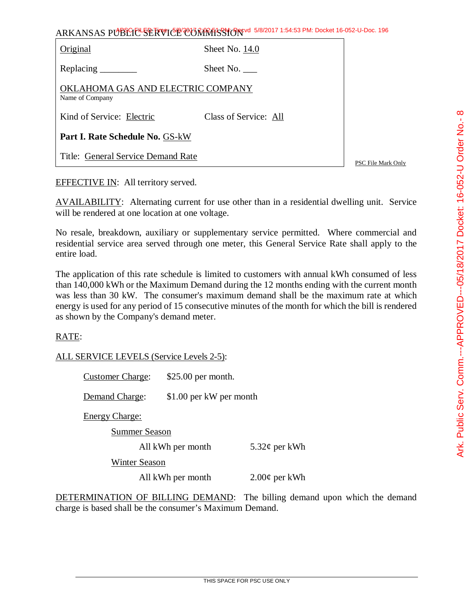ARKANSAS PUBLIC SERVICE COMMISSION 5/8/2017 1:54:53 PM: Docket 16-052-U-Doc. 196

| <b>Part I. Rate Schedule No. GS-kW</b>               |                       |
|------------------------------------------------------|-----------------------|
| Kind of Service: Electric                            | Class of Service: All |
| OKLAHOMA GAS AND ELECTRIC COMPANY<br>Name of Company |                       |
| Replacing $\_\_\_\_\_\_\_\_\_\_\$                    | Sheet No. $\_\_$      |
| Original                                             | Sheet No. 14.0        |

PSC File Mark Only

EFFECTIVE IN: All territory served.

Title: General Service Demand Rate

AVAILABILITY: Alternating current for use other than in a residential dwelling unit. Service will be rendered at one location at one voltage.

No resale, breakdown, auxiliary or supplementary service permitted. Where commercial and residential service area served through one meter, this General Service Rate shall apply to the entire load.

The application of this rate schedule is limited to customers with annual kWh consumed of less than 140,000 kWh or the Maximum Demand during the 12 months ending with the current month was less than 30 kW. The consumer's maximum demand shall be the maximum rate at which energy is used for any period of 15 consecutive minutes of the month for which the bill is rendered as shown by the Company's demand meter.

## RATE:

ALL SERVICE LEVELS (Service Levels 2-5):

Customer Charge: \$25.00 per month.

Demand Charge: \$1.00 per kW per month

Energy Charge:

Summer Season

All kWh per month 5.32¢ per kWh

Winter Season

All kWh per month  $2.00\phi$  per kWh

DETERMINATION OF BILLING DEMAND: The billing demand upon which the demand charge is based shall be the consumer's Maximum Demand.